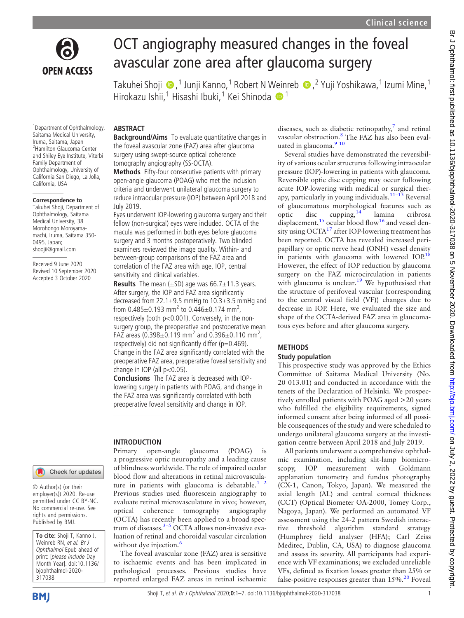

# OCT angiography measured changes in the foveal avascular zone area after glaucoma surgery

Takuhei Shoji , <sup>1</sup> Junji Kanno,<sup>1</sup> Robert N Weinreb , <sup>2</sup> Yuji Yoshikawa,<sup>1</sup> Izumi Mine,1 Hirokazu Ishii,<sup>[1](http://orcid.org/0000-0002-5464-2573)</sup> Hisashi Ibuki,<sup>1</sup> Kei Shinoda <sup>1</sup>

1 Department of Ophthalmology, Saitama Medical University, Iruma, Saitama, Japan 2 Hamilton Glaucoma Center and Shiley Eye Institute, Viterbi Family Department of Ophthalmology, University of California San Diego, La Jolla, California, USA

ABSTRACT

July 2019.

sensitivity and clinical variables.

change in IOP (all  $p<0.05$ ).

INTRODUCTION

Background/Aims To evaluate quantitative changes in the foveal avascular zone (FAZ) area after glaucoma surgery using swept-source optical coherence tomography angiography (SS-OCTA).

Methods Fifty-four consecutive patients with primary open-angle glaucoma (POAG) who met the inclusion criteria and underwent unilateral glaucoma surgery to reduce intraocular pressure (IOP) between April 2018 and

Eyes underwent IOP-lowering glaucoma surgery and their fellow (non-surgical) eyes were included. OCTA of the macula was performed in both eyes before glaucoma surgery and 3 months postoperatively. Two blinded examiners reviewed the image quality. Within- and between-group comparisons of the FAZ area and correlation of the FAZ area with age, IOP, central

**Results** The mean  $(\pm SD)$  age was 66.7 $\pm$ 11.3 years. After surgery, the IOP and FAZ area significantly decreased from 22.1±9.5 mmHg to 10.3±3.5 mmHg and from  $0.485 \pm 0.193$  mm<sup>2</sup> to  $0.446 \pm 0.174$  mm<sup>2</sup>, respectively (both p<0.001). Conversely, in the nonsurgery group, the preoperative and postoperative mean FAZ areas (0.398 $\pm$ 0.119 mm<sup>2</sup> and 0.396 $\pm$ 0.110 mm<sup>2</sup>, respectively) did not significantly differ ( $p=0.469$ ). Change in the FAZ area significantly correlated with the preoperative FAZ area, preoperative foveal sensitivity and

Conclusions The FAZ area is decreased with IOPlowering surgery in patients with POAG, and change in the FAZ area was significantly correlated with both preoperative foveal sensitivity and change in IOP.

#### Correspondence to

Takuhei Shoji, Department of Ophthalmology, Saitama Medical University, 38 Morohongo Moroyamamachi, Iruma, Saitama 350- 0495, Japan; [shoojii@gmail.com](mailto:shoojii@gmail.com)

Received 9 June 2020 Revised 10 September 2020 Accepted 3 October 2020

# Check for updates

© Author(s) (or their employer(s)) 2020. Re-use permitted under CC BY-NC. No commercial re-use. See rights and permissions. Published by BMJ.

To cite: Shoji T, Kanno J, Weinreb RN, et al. Br J Ophthalmol Epub ahead of print: [please include Day Month Year]. doi:10.1136/ bjophthalmol-2020- 317038

Primary open-angle glaucoma (POAG) is a progressive optic neuropathy and a leading cause of blindness worldwide. The role of impaired ocular blood flow and alterations in retinal microvasculature in patients with glaucoma is debatable. $<sup>1</sup>$ </sup> Previous studies used fluorescein angiography to evaluate retinal microvasculature in vivo; however, optical coherence tomography angiography (OCTA) has recently been applied to a broad spec-trum of diseases.<sup>[3](#page-6-1)–5</sup> OCTA allows non-invasive evaluation of retinal and choroidal vascular circulation without dye injection.<sup>[6](#page-6-2)</sup>

The foveal avascular zone (FAZ) area is sensitive to ischaemic events and has been implicated in pathological processes. Previous studies have reported enlarged FAZ areas in retinal ischaemic

diseases, such as diabetic retinopathy, $\frac{7}{7}$  $\frac{7}{7}$  $\frac{7}{7}$  and retinal vascular obstruction.<sup>[8](#page-6-4)</sup> The FAZ has also been evaluated in glaucoma.<sup>9</sup> <sup>10</sup>

Several studies have demonstrated the reversibility of various ocular structures following intraocular pressure (IOP)-lowering in patients with glaucoma. Reversible optic disc cupping may occur following acute IOP-lowering with medical or surgical ther-apy, particularly in young individuals.<sup>11–[13](#page-6-6)</sup> Reversal of glaucomatous morphological features such as optic disc cupping,[14](#page-6-7) lamina cribrosa displacement,<sup>[15](#page-6-8)</sup> ocular blood flow<sup>[16](#page-6-9)</sup> and vessel density using  $OCTA<sup>17</sup>$  $OCTA<sup>17</sup>$  $OCTA<sup>17</sup>$  after IOP-lowering treatment has been reported. OCTA has revealed increased peripapillary or optic nerve head (ONH) vessel density in patients with glaucoma with lowered  $IOP<sup>18</sup>$  $IOP<sup>18</sup>$  $IOP<sup>18</sup>$ However, the effect of IOP reduction by glaucoma surgery on the FAZ microcirculation in patients with glaucoma is unclear.<sup>[19](#page-6-12)</sup> We hypothesised that the structure of perifoveal vascular (corresponding to the central visual field (VF)) changes due to decrease in IOP. Here, we evaluated the size and shape of the OCTA-derived FAZ area in glaucomatous eyes before and after glaucoma surgery.

# **METHODS**

# Study population

This prospective study was approved by the Ethics Committee of Saitama Medical University (No. 20 013.01) and conducted in accordance with the tenets of the Declaration of Helsinki. We prospectively enrolled patients with POAG aged >20 years who fulfilled the eligibility requirements, signed informed consent after being informed of all possible consequences of the study and were scheduled to undergo unilateral glaucoma surgery at the investigation centre between April 2018 and July 2019.

All patients underwent a comprehensive ophthalmic examination, including slit-lamp biomicroscopy, IOP measurement with Goldmann applanation tonometry and fundus photography (CX-1, Canon, Tokyo, Japan). We measured the axial length (AL) and central corneal thickness (CCT) (Optical Biometer OA-2000, Tomey Corp., Nagoya, Japan). We performed an automated VF assessment using the 24-2 pattern Swedish interactive threshold algorithm standard strategy (Humphrey field analyser (HFA); Carl Zeiss Meditec, Dublin, CA, USA) to diagnose glaucoma and assess its severity. All participants had experience with VF examinations; we excluded unreliable VFs, defined as fixation losses greater than 25% or false-positive responses greater than  $15\%$ .<sup>[20](#page-6-13)</sup> Foveal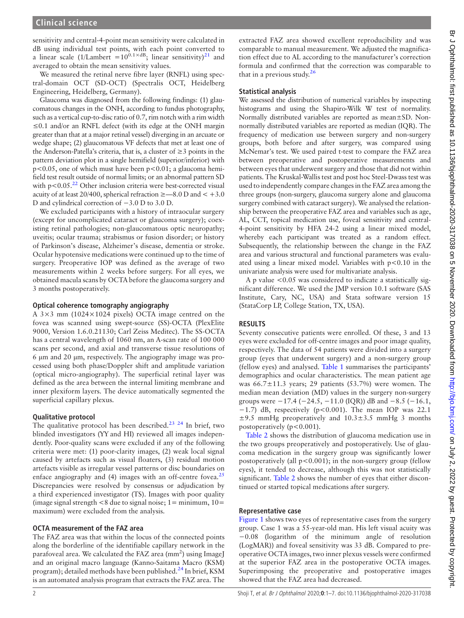sensitivity and central-4-point mean sensitivity were calculated in dB using individual test points, with each point converted to a linear scale (1/Lambert =10<sup>0.1×dB</sup>; linear sensitivity)<sup>21</sup> and averaged to obtain the mean sensitivity values.

We measured the retinal nerve fibre layer (RNFL) using spectral-domain OCT (SD-OCT) (Spectralis OCT, Heidelberg Engineering, Heidelberg, Germany).

Glaucoma was diagnosed from the following findings: (1) glaucomatous changes in the ONH, according to fundus photography, such as a vertical cup-to-disc ratio of 0.7, rim notch with a rim width  $\leq 0.1$  and/or an RNFL defect (with its edge at the ONH margin greater than that at a major retinal vessel) diverging in an arcuate or wedge shape; (2) glaucomatous VF defects that met at least one of the Anderson-Patella's criteria, that is, a cluster of  $\geq 3$  points in the pattern deviation plot in a single hemifield (superior/inferior) with  $p<0.05$ , one of which must have been  $p<0.01$ ; a glaucoma hemifield test result outside of normal limits; or an abnormal pattern SD with  $p < 0.05$ .<sup>[22](#page-6-15)</sup> Other inclusion criteria were best-corrected visual acuity of at least 20/400, spherical refraction  $\geq$  -8.0 D and < +3.0 D and cylindrical correction of −3.0 D to 3.0 D.

We excluded participants with a history of intraocular surgery (except for uncomplicated cataract or glaucoma surgery); coexisting retinal pathologies; non-glaucomatous optic neuropathy; uveitis; ocular trauma; strabismus or fusion disorder; or history of Parkinson's disease, Alzheimer's disease, dementia or stroke. Ocular hypotensive medications were continued up to the time of surgery. Preoperative IOP was defined as the average of two measurements within 2 weeks before surgery. For all eyes, we obtained macula scans by OCTA before the glaucoma surgery and 3 months postoperatively.

#### Optical coherence tomography angiography

A 3×3 mm (1024×1024 pixels) OCTA image centred on the fovea was scanned using swept-source (SS)-OCTA (PlexElite 9000, Version 1.6.0.21130; Carl Zeiss Meditec). The SS-OCTA has a central wavelength of 1060 nm, an A-scan rate of 100 000 scans per second, and axial and transverse tissue resolutions of 6 μm and 20 μm, respectively. The angiography image was processed using both phase/Doppler shift and amplitude variation (optical micro-angiography). The superficial retinal layer was defined as the area between the internal limiting membrane and inner plexiform layers. The device automatically segmented the superficial capillary plexus.

### Qualitative protocol

The qualitative protocol has been described.<sup>[23 24](#page-6-16)</sup> In brief, two blinded investigators (YY and HI) reviewed all images independently. Poor-quality scans were excluded if any of the following criteria were met: (1) poor-clarity images, (2) weak local signal caused by artefacts such as visual floaters, (3) residual motion artefacts visible as irregular vessel patterns or disc boundaries on enface angiography and (4) images with an off-centre fovea. $^{25}$  $^{25}$  $^{25}$ Discrepancies were resolved by consensus or adjudication by a third experienced investigator (TS). Images with poor quality (image signal strength  $< 8$  due to signal noise; 1 = minimum, 10 = maximum) were excluded from the analysis.

#### OCTA measurement of the FAZ area

The FAZ area was that within the locus of the connected points along the borderline of the identifiable capillary network in the parafoveal area. We calculated the FAZ area (mm<sup>2</sup>) using ImageJ and an original macro language (Kanno-Saitama Macro (KSM) program); detailed methods have been published.<sup>[24](#page-6-18)</sup> In brief, KSM is an automated analysis program that extracts the FAZ area. The

extracted FAZ area showed excellent reproducibility and was comparable to manual measurement. We adjusted the magnification effect due to AL according to the manufacturer's correction formula and confirmed that the correction was comparable to that in a previous study.<sup>[26](#page-6-19)</sup>

# Statistical analysis

We assessed the distribution of numerical variables by inspecting histograms and using the Shapiro-Wilk W test of normality. Normally distributed variables are reported as mean±SD. Nonnormally distributed variables are reported as median (IQR). The frequency of medication use between surgery and non-surgery groups, both before and after surgery, was compared using McNemar's test. We used paired t-test to compare the FAZ area between preoperative and postoperative measurements and between eyes that underwent surgery and those that did not within patients. The Kruskal-Wallis test and post hoc Steel-Dwass test was used to independently compare changes in the FAZ area among the three groups (non-surgery, glaucoma surgery alone and glaucoma surgery combined with cataract surgery). We analysed the relationship between the preoperative FAZ area and variables such as age, AL, CCT, topical medication use, foveal sensitivity and central-4-point sensitivity by HFA 24-2 using a linear mixed model, whereby each participant was treated as a random effect. Subsequently, the relationship between the change in the FAZ area and various structural and functional parameters was evaluated using a linear mixed model. Variables with  $p < 0.10$  in the univariate analysis were used for multivariate analysis.

A p value <0.05 was considered to indicate a statistically significant difference. We used the JMP version 10.1 software (SAS Institute, Cary, NC, USA) and Stata software version 15 (StataCorp LP, College Station, TX, USA).

### RESULTS

Seventy consecutive patients were enrolled. Of these, 3 and 13 eyes were excluded for off-centre images and poor image quality, respectively. The data of 54 patients were divided into a surgery group (eyes that underwent surgery) and a non-surgery group (fellow eyes) and analysed. [Table 1](#page-2-0) summarises the participants' demographics and ocular characteristics. The mean patient age was  $66.7 \pm 11.3$  years; 29 patients (53.7%) were women. The median mean deviation (MD) values in the surgery non-surgery groups were  $-17.4$  ( $-24.5$ ,  $-11.0$  (IQR)) dB and  $-8.5$  ( $-16.1$ , −1.7) dB, respectively (p<0.001). The mean IOP was 22.1  $\pm$ 9.5 mmHg preoperatively and  $10.3\pm3.5$  mmHg 3 months postoperatively  $(p<0.001)$ .

[Table 2](#page-2-1) shows the distribution of glaucoma medication use in the two groups preoperatively and postoperatively. Use of glaucoma medication in the surgery group was significantly lower postoperatively (all  $p < 0.001$ ); in the non-surgery group (fellow eyes), it tended to decrease, although this was not statistically significant. [Table 2](#page-2-1) shows the number of eyes that either discontinued or started topical medications after surgery.

#### Representative case

[Figure 1](#page-3-0) shows two eyes of representative cases from the surgery group. Case 1 was a 55-year-old man. His left visual acuity was −0.08 (logarithm of the minimum angle of resolution (LogMAR)) and foveal sensitivity was 33 dB. Compared to preoperative OCTA images, two inner plexus vessels were confirmed at the superior FAZ area in the postoperative OCTA images. Superimposing the preoperative and postoperative images showed that the FAZ area had decreased.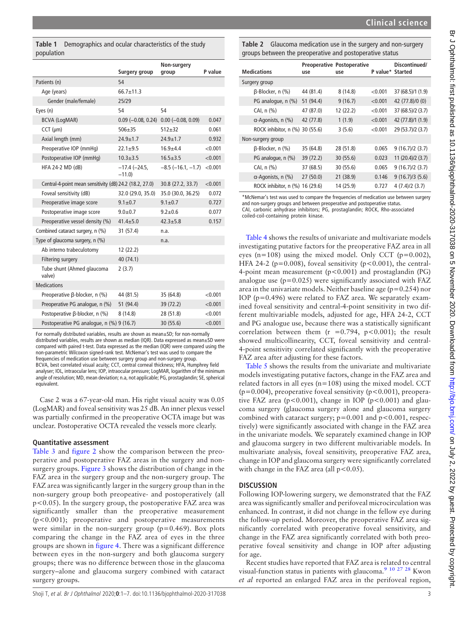<span id="page-2-0"></span>

|            | Table 1 Demographics and ocular characteristics of the study |  |
|------------|--------------------------------------------------------------|--|
| population |                                                              |  |

|                                                         | Surgery group              | Non-surgery<br>group        | P value |
|---------------------------------------------------------|----------------------------|-----------------------------|---------|
|                                                         |                            |                             |         |
| Patients (n)                                            | 54                         |                             |         |
| Age (years)                                             | $66.7 \pm 11.3$            |                             |         |
| Gender (male/female)                                    | 25/29                      |                             |         |
| Eyes (n)                                                | 54                         | 54                          |         |
| <b>BCVA (LogMAR)</b>                                    | $0.09$ (-0.08, 0.24)       | $0.00$ (-0.08, 0.09)        | 0.047   |
| $CCT$ ( $\mu$ m)                                        | $506 + 35$                 | $512 + 32$                  | 0.061   |
| Axial length (mm)                                       | $24.9 + 1.7$               | $24.9 + 1.7$                | 0.932   |
| Preoperative IOP (mmHg)                                 | $22.1 \pm 9.5$             | $16.9 + 4.4$                | < 0.001 |
| Postoperative IOP (mmHg)                                | $10.3 + 3.5$               | $16.5 \pm 3.5$              | < 0.001 |
| HFA 24-2 MD (dB)                                        | $-17.4 (-24.5,$<br>$-11.0$ | $-8.5$ ( $-16.1$ , $-1.7$ ) | < 0.001 |
| Central-4-point mean sensitivity (dB) 24.2 (18.2, 27.0) |                            | 30.8 (27.2, 33.7)           | < 0.001 |
| Foveal sensitivity (dB)                                 | 32.0 (29.0, 35.0)          | 35.0 (30.0, 36.25)          | 0.072   |
| Preoperative image score                                | $9.1 \pm 0.7$              | $9.1 \pm 0.7$               | 0.727   |
| Postoperative image score                               | $9.0 + 0.7$                | $9.2 + 0.6$                 | 0.077   |
| Preoperative vessel density (%)                         | $41.4 \pm 5.0$             | $42.3 + 5.8$                | 0.157   |
| Combined cataract surgery, n (%)                        | 31 (57.4)                  | n.a.                        |         |
| Type of glaucoma surgery, n (%)                         |                            | n.a.                        |         |
| Ab interno trabeculotomy                                | 12 (22.2)                  |                             |         |
| Filtering surgery                                       | 40 (74.1)                  |                             |         |
| Tube shunt (Ahmed glaucoma<br>valve)                    | 2(3.7)                     |                             |         |
| <b>Medications</b>                                      |                            |                             |         |
| Preoperative B-blocker, n (%)                           | 44 (81.5)                  | 35 (64.8)                   | < 0.001 |
| Preoperative PG analogue, n (%)                         | 51 (94.4)                  | 39 (72.2)                   | < 0.001 |
| Postoperative ß-blocker, n (%)                          | 8(14.8)                    | 28 (51.8)                   | < 0.001 |
| Postoperative PG analogue, n (%) 9 (16.7)               |                            | 30 (55.6)                   | < 0.001 |

For normally distributed variables, results are shown as mean±SD; for non-normally distributed variables, results are shown as median (IQR). Data expressed as mean±SD were compared with paired t-test. Data expressed as the median (IQR) were compared using the non-parametric Wilcoxon signed-rank test. McNemar's test was used to compare the frequencies of medication use between surgery group and non-surgery group. BCVA, best correlated visual acuity; CCT, central corneal thickness; HFA, Humphrey field

analyser; IOL, intraocular lens; IOP, intraocular pressure; LogMAR, logarithm of the minimum angle of resolution; MD, mean deviation; n.a, not applicable; PG, prostaglandin; SE, spherical equivalent.

Case 2 was a 67-year-old man. His right visual acuity was 0.05 (LogMAR) and foveal sensitivity was 25 dB. An inner plexus vessel was partially confirmed in the preoperative OCTA image but was unclear. Postoperative OCTA revealed the vessels more clearly.

# Quantitative assessment

[Table 3](#page-3-1) and [figure 2](#page-4-0) show the comparison between the preoperative and postoperative FAZ areas in the surgery and nonsurgery groups. [Figure 3](#page-4-1) shows the distribution of change in the FAZ area in the surgery group and the non-surgery group. The FAZ area was significantly larger in the surgery group than in the non-surgery group both preopeative- and postoperatively (all p<0.05). In the surgery group, the postoperative FAZ area was significantly smaller than the preoperative measurement (p<0.001); preoperative and postoperative measurements were similar in the non-surgery group ( $p=0.469$ ). Box plots comparing the change in the FAZ area of eyes in the three groups are shown in [figure 4](#page-4-2). There was a significant difference between eyes in the non-surgery and both glaucoma surgery groups; there was no difference between those in the glaucoma surgery–alone and glaucoma surgery combined with cataract surgery groups.

<span id="page-2-1"></span>Table 2 Glaucoma medication use in the surgery and non-surgery groups between the preoperative and postoperative status

Clinical science

| <b>Medications</b>                  | use       | <b>Preoperative Postoperative</b><br>use | P value* Started | Discontinued/     |
|-------------------------------------|-----------|------------------------------------------|------------------|-------------------|
| Surgery group                       |           |                                          |                  |                   |
| β-Blocker, n (%)                    | 44 (81.4) | 8(14.8)                                  | < 0.001          | 37 (68.5)/1 (1.9) |
| PG analogue, n (%)                  | 51 (94.4) | 9(16.7)                                  | < 0.001          | 42 (77.8)/0 (0)   |
| CAI, $n$ $(\%)$                     | 47 (87.0) | 12 (22.2)                                | < 0.001          | 37 (68.5)/2 (3.7) |
| $\alpha$ -Agonists, n (%)           | 42 (77.8) | 1(1.9)                                   | < 0.001          | 42 (77.8)/1 (1.9) |
| ROCK inhibitor, n (%)               | 30 (55.6) | 3(5.6)                                   | < 0.001          | 29 (53.7)/2 (3.7) |
| Non-surgery group                   |           |                                          |                  |                   |
| β-Blocker, n (%)                    | 35 (64.8) | 28 (51.8)                                | 0.065            | 9(16.7)/2(3.7)    |
| PG analogue, n (%)                  | 39 (72.2) | 30 (55.6)                                | 0.023            | 11 (20.4)/2 (3.7) |
| CAI, $n$ $\left(\frac{9}{6}\right)$ | 37 (68.5) | 30 (55.6)                                | 0.065            | 9(16.7)/2(3.7)    |
| $\alpha$ -Agonists, n (%)           | 27(50.0)  | 21 (38.9)                                | 0.146            | 9(16.7)/3(5.6)    |
| ROCK inhibitor, n (%)               | 16 (29.6) | 14 (25.9)                                | 0.727            | 4(7.4)/2(3.7)     |

\*McNemar's test was used to compare the frequencies of medication use between surgery and non-surgery groups and between preoperative and postoperative status. CAI, carbonic anhydrase inhibitors; PG, prostaglandin; ROCK, Rho-associated

coiled-coil-containing protein kinase.

[Table 4](#page-5-0) shows the results of univariate and multivariate models investigating putative factors for the preoperative FAZ area in all eyes (n=108) using the mixed model. Only CCT (p=0.002), HFA 24-2 ( $p=0.008$ ), foveal sensitivity ( $p<0.001$ ), the central-4-point mean measurement (p<0.001) and prostaglandin (PG) analogue use  $(p=0.025)$  were significantly associated with FAZ area in the univariate models. Neither baseline age ( $p=0.254$ ) nor IOP ( $p=0.496$ ) were related to FAZ area. We separately examined foveal sensitivity and central-4-point sensitivity in two different multivariable models, adjusted for age, HFA 24-2, CCT and PG analogue use, because there was a statistically significant correlation between them  $(r = 0.794, p < 0.001)$ ; the result showed multicollinearity, CCT, foveal sensitivity and central-4-point sensitivity correlated significantly with the preoperative FAZ area after adjusting for these factors.

[Table 5](#page-5-1) shows the results from the univariate and multivariate models investigating putative factors, change in the FAZ area and related factors in all eyes ( $n=108$ ) using the mixed model. CCT ( $p=0.004$ ), preoperative foveal sensitivity ( $p<0.001$ ), preoperative FAZ area ( $p < 0.001$ ), change in IOP ( $p < 0.001$ ) and glaucoma surgery (glaucoma surgery alone and glaucoma surgery combined with cataract surgery;  $p=0.001$  and  $p<0.001$ , respectively) were significantly associated with change in the FAZ area in the univariate models. We separately examined change in IOP and glaucoma surgery in two different multivariable models. In multivariate analysis, foveal sensitivity, preoperative FAZ area, change in IOP and glaucoma surgery were significantly correlated with change in the FAZ area (all  $p < 0.05$ ).

# **DISCUSSION**

Following IOP-lowering surgery, we demonstrated that the FAZ area was significantly smaller and perifoveal microcirculation was enhanced. In contrast, it did not change in the fellow eye during the follow-up period. Moreover, the preoperative FAZ area significantly correlated with preoperative foveal sensitivity, and change in the FAZ area significantly correlated with both preoperative foveal sensitivity and change in IOP after adjusting for age.

Recent studies have reported that FAZ area is related to central visual-function status in patients with glaucoma.[9 10 27 28](#page-6-5) Kwon et al reported an enlarged FAZ area in the perifoveal region,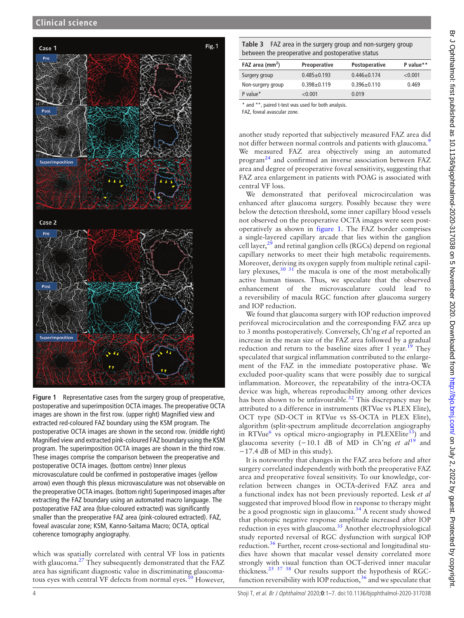<span id="page-3-0"></span>

Figure 1 Representative cases from the surgery group of preoperative, postoperative and superimposition OCTA images. The preoperative OCTA images are shown in the first row. (upper right) Magnified view and extracted red-coloured FAZ boundary using the KSM program. The postoperative OCTA images are shown in the second row. (middle right) Magnified view and extracted pink-coloured FAZ boundary using the KSM program. The superimposition OCTA images are shown in the third row. These images comprise the comparison between the preoperative and postoperative OCTA images. (bottom centre) Inner plexus microvasculature could be confirmed in postoperative images (yellow arrow) even though this plexus microvasculature was not observable on the preoperative OCTA images. (bottom right) Superimposed images after extracting the FAZ boundary using an automated macro language. The postoperative FAZ area (blue-coloured extracted) was significantly smaller than the preoperative FAZ area (pink-coloured extracted). FAZ, foveal avascular zone; KSM, Kanno-Saitama Macro; OCTA, optical coherence tomography angiography.

which was spatially correlated with central VF loss in patients with glaucoma. $27$  They subsequently demonstrated that the FAZ area has significant diagnostic value in discriminating glaucoma-tous eyes with central VF defects from normal eyes.<sup>[10](#page-6-21)</sup> However,

<span id="page-3-1"></span>Table 3 FAZ area in the surgery group and non-surgery group between the preoperative and postoperative status

| FAZ area $\text{(mm}^2)$ | Preoperative    | <b>Postoperative</b> | P value** |
|--------------------------|-----------------|----------------------|-----------|
| Surgery group            | $0.485 + 0.193$ | $0.446 \pm 0.174$    | < 0.001   |
| Non-surgery group        | $0.398 + 0.119$ | $0.396 \pm 0.110$    | 0.469     |
| P value*                 | < 0.001         | 0.019                |           |

and \*\*, paired t-test was used for both analysis.

FAZ, foveal avascular zone.

another study reported that subjectively measured FAZ area did not differ between normal controls and patients with glaucoma.<sup>[9](#page-6-5)</sup> We measured FAZ area objectively using an automated program[24](#page-6-18) and confirmed an inverse association between FAZ area and degree of preoperative foveal sensitivity, suggesting that FAZ area enlargement in patients with POAG is associated with central VF loss.

We demonstrated that perifoveal microcirculation was enhanced after glaucoma surgery. Possibly because they were below the detection threshold, some inner capillary blood vessels not observed on the preoperative OCTA images were seen postoperatively as shown in [figure 1](#page-3-0). The FAZ border comprises a single-layered capillary arcade that lies within the ganglion cell layer,<sup>[29](#page-6-22)</sup> and retinal ganglion cells (RGCs) depend on regional capillary networks to meet their high metabolic requirements. Moreover, deriving its oxygen supply from multiple retinal capillary plexuses,  $30 \frac{31}{10}$  the macula is one of the most metabolically active human tissues. Thus, we speculate that the observed enhancement of the microvasculature could lead to a reversibility of macula RGC function after glaucoma surgery and IOP reduction.

We found that glaucoma surgery with IOP reduction improved perifoveal microcirculation and the corresponding FAZ area up to 3 months postoperatively. Conversely, Ch'ng et al reported an increase in the mean size of the FAZ area followed by a gradual reduction and return to the baseline sizes after 1 year.<sup>[19](#page-6-12)</sup> They speculated that surgical inflammation contributed to the enlargement of the FAZ in the immediate postoperative phase. We excluded poor-quality scans that were possibly due to surgical inflammation. Moreover, the repeatability of the intra-OCTA device was high, whereas reproducibility among other devices has been shown to be unfavourable.<sup>[32](#page-6-24)</sup> This discrepancy may be attributed to a difference in instruments (RTVue vs PLEX Elite), OCT type (SD-OCT in RTVue vs SS-OCTA in PLEX Elite), algorithm (split-spectrum amplitude decorrelation angiography in RTVue<sup>[6](#page-6-2)</sup> vs optical micro-angiography in PLEXElite<sup>33</sup>) and glaucoma severity (−10.1 dB of MD in Ch'ng et  $al^{19}$  $al^{19}$  $al^{19}$  and −17.4 dB of MD in this study).

It is noteworthy that changes in the FAZ area before and after surgery correlated independently with both the preoperative FAZ area and preoperative foveal sensitivity. To our knowledge, correlation between changes in OCTA-derived FAZ area and a functional index has not been previously reported. Lesk et al suggested that improved blood flow in response to therapy might be a good prognostic sign in glaucoma.<sup>[34](#page-6-26)</sup> A recent study showed that photopic negative response amplitude increased after IOP reduction in eyes with glaucoma.[35](#page-6-27) Another electrophysiological study reported reversal of RGC dysfunction with surgical IOP reduction.<sup>[36](#page-6-28)</sup> Further, recent cross-sectional and longitudinal studies have shown that macular vessel density correlated more strongly with visual function than OCT-derived inner macular thickness.<sup>[25 37 38](#page-6-17)</sup> Our results support the hypothesis of RGCfunction reversibility with IOP reduction,  $36$  and we speculate that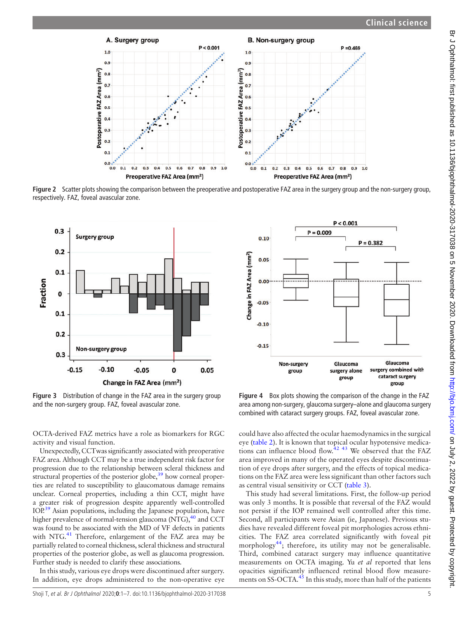<span id="page-4-0"></span>

Figure 2 Scatter plots showing the comparison between the preoperative and postoperative FAZ area in the surgery group and the non-surgery group, respectively. FAZ, foveal avascular zone.

<span id="page-4-1"></span>

Figure 3 Distribution of change in the FAZ area in the surgery group and the non-surgery group. FAZ, foveal avascular zone.

<span id="page-4-2"></span> $P < 0.001$  $P = 0.009$  $0.10$  $P = 0.382$ Change in FAZ Area (mm<sup>2</sup>)  $0.05$  $0.00$  $-0.05$  $-0.10$  $-0.15$ Glaucoma Non-surgery Glaucoma surgery combined with group surgery alone cataract surgery group group

Figure 4 Box plots showing the comparison of the change in the FAZ area among non-surgery, glaucoma surgery–alone and glaucoma surgery combined with cataract surgery groups. FAZ, foveal avascular zone.

OCTA-derived FAZ metrics have a role as biomarkers for RGC activity and visual function.

Unexpectedly, CCTwas significantly associated with preoperative FAZ area. Although CCT may be a true independent risk factor for progression due to the relationship between scleral thickness and structural properties of the posterior globe, $39$  how corneal properties are related to susceptibility to glaucomatous damage remains unclear. Corneal properties, including a thin CCT, might have a greater risk of progression despite apparently well-controlled IO[P.39](#page-6-29) Asian populations, including the Japanese population, have higher prevalence of normal-tension glaucoma (NTG), $^{40}$  and CCT was found to be associated with the MD of VF defects in patients with NTG.<sup>41</sup> Therefore, enlargement of the FAZ area may be partially related to corneal thickness, scleral thickness and structural properties of the posterior globe, as well as glaucoma progression. Further study is needed to clarify these associations.

In this study, various eye drops were discontinued after surgery. In addition, eye drops administered to the non-operative eye could have also affected the ocular haemodynamics in the surgical eye ([table 2](#page-2-1)). It is known that topical ocular hypotensive medications can influence blood flow. $42$  43 We observed that the FAZ area improved in many of the operated eyes despite discontinuation of eye drops after surgery, and the effects of topical medications on the FAZ area were less significant than other factors such as central visual sensitivity or CCT [\(table 3](#page-3-1)).

This study had several limitations. First, the follow-up period was only 3 months. It is possible that reversal of the FAZ would not persist if the IOP remained well controlled after this time. Second, all participants were Asian (ie, Japanese). Previous studies have revealed different foveal pit morphologies across ethnicities. The FAZ area correlated significantly with foveal pit morphology<sup>44</sup>; therefore, its utility may not be generalisable. Third, combined cataract surgery may influence quantitative measurements on OCTA imaging. Yu et al reported that lens opacities significantly influenced retinal blood flow measure-ments on SS-OCTA.<sup>[45](#page-6-34)</sup> In this study, more than half of the patients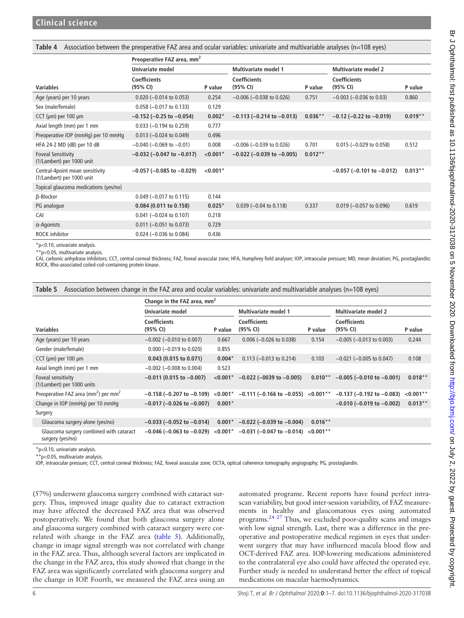<span id="page-5-0"></span>Table 4 Association between the preoperative FAZ area and ocular variables: univariate and multivariable analyses (n=108 eyes)

|                                                              | Preoperative FAZ area, mm <sup>2</sup> |            |                                   |           |                                   |           |
|--------------------------------------------------------------|----------------------------------------|------------|-----------------------------------|-----------|-----------------------------------|-----------|
|                                                              | Univariate model                       |            | <b>Multivariate model 1</b>       |           | <b>Multivariate model 2</b>       |           |
| <b>Variables</b>                                             | <b>Coefficients</b><br>(95% CI)        | P value    | <b>Coefficients</b><br>(95% CI)   | P value   | <b>Coefficients</b><br>(95% CI)   | P value   |
| Age (years) per 10 years                                     | $0.020$ (-0.014 to 0.053)              | 0.254      | $-0.006$ ( $-0.038$ to 0.026)     | 0.751     | $-0.003$ ( $-0.036$ to 0.03)      | 0.860     |
| Sex (male/female)                                            | $0.058$ (-0.017 to 0.133)              | 0.129      |                                   |           |                                   |           |
| CCT ( $\mu$ m) per 100 $\mu$ m                               | $-0.152$ ( $-0.25$ to $-0.054$ )       | $0.002*$   | $-0.113$ ( $-0.214$ to $-0.013$ ) | $0.036**$ | $-0.12$ ( $-0.22$ to $-0.019$ )   | $0.019**$ |
| Axial length (mm) per 1 mm                                   | $0.033$ (-0.194 to 0.259)              | 0.777      |                                   |           |                                   |           |
| Preoperative IOP (mmHg) per 10 mmHg                          | $0.013$ (-0.024 to 0.049)              | 0.496      |                                   |           |                                   |           |
| HFA 24-2 MD (dB) per 10 dB                                   | $-0.040$ ( $-0.069$ to $-0.01$ )       | 0.008      | $-0.006$ ( $-0.039$ to 0.026)     | 0.701     | $0.015$ (-0.029 to 0.058)         | 0.512     |
| <b>Foveal Sensitivity</b><br>(1/Lambert) per 1000 unit       | $-0.032$ ( $-0.047$ to $-0.017$ )      | $< 0.001*$ | $-0.022$ ( $-0.039$ to $-0.005$ ) | $0.012**$ |                                   |           |
| Central-4point mean sensitivity<br>(1/Lambert) per 1000 unit | $-0.057$ ( $-0.085$ to $-0.029$ )      | $< 0.001*$ |                                   |           | $-0.057$ ( $-0.101$ to $-0.012$ ) | $0.013**$ |
| Topical glaucoma medications (yes/no)                        |                                        |            |                                   |           |                                   |           |
| β-Blocker                                                    | $0.049$ (-0.017 to 0.115)              | 0.144      |                                   |           |                                   |           |
| PG analogue                                                  | 0.084 (0.011 to 0.158)                 | $0.025*$   | $0.039$ (-0.04 to 0.118)          | 0.337     | $0.019$ (-0.057 to 0.096)         | 0.619     |
| CAI                                                          | $0.041$ (-0.024 to 0.107)              | 0.218      |                                   |           |                                   |           |
| $\alpha$ -Agonists                                           | $0.011$ (-0.051 to 0.073)              | 0.729      |                                   |           |                                   |           |
| <b>ROCK</b> inhibitor                                        | $0.024 (-0.036$ to $0.084)$            | 0.436      |                                   |           |                                   |           |

\*p<0.10, univariate analysis.

\*\*p<0.05, multivariate analysis.

CAI, carbonic anhydrase inhibitors; CCT, central corneal thickness; FAZ, foveal avascular zone; HFA, Humphrey field analyser; IOP, intraocular pressure; MD, mean deviation; PG, prostaglandin; ROCK, Rho-associated coiled-coil-containing protein kinase.

<span id="page-5-1"></span>

|  | Table 5 Association between change in the FAZ area and ocular variables: univariate and multivariable analyses (n=108 eyes) |  |  |  |
|--|-----------------------------------------------------------------------------------------------------------------------------|--|--|--|
|--|-----------------------------------------------------------------------------------------------------------------------------|--|--|--|

|                                                             | Change in the FAZ area, $mm2$     |            |                                                                        |              |                                   |             |
|-------------------------------------------------------------|-----------------------------------|------------|------------------------------------------------------------------------|--------------|-----------------------------------|-------------|
|                                                             | Univariate model                  |            | <b>Multivariate model 1</b>                                            |              | <b>Multivariate model 2</b>       |             |
| <b>Variables</b>                                            | <b>Coefficients</b><br>(95% CI)   | P value    | <b>Coefficients</b><br>(95% CI)                                        | P value      | <b>Coefficients</b><br>(95% CI)   | P value     |
| Age (years) per 10 years                                    | $-0.002$ ( $-0.010$ to 0.007)     | 0.667      | $0.006$ (-0.026 to 0.038)                                              | 0.154        | $-0.005$ ( $-0.013$ to 0.003)     | 0.244       |
| Gender (male/female)                                        | $0.000$ (-0.019 to 0.020)         | 0.855      |                                                                        |              |                                   |             |
| CCT ( $\mu$ m) per 100 $\mu$ m                              | $0.043$ (0.015 to 0.071)          | $0.004*$   | $0.113 (-0.013$ to $0.214)$                                            | 0.103        | $-0.021$ ( $-0.005$ to 0.047)     | 0.108       |
| Axial length (mm) per 1 mm                                  | $-0.002$ ( $-0.008$ to 0.004)     | 0.523      |                                                                        |              |                                   |             |
| Foveal sensitivity<br>(1/Lumbert) per 1000 units            | $-0.011$ (0.015 to $-0.007$ )     | $< 0.001*$ | $-0.022$ ( $-0039$ to $-0.005$ )                                       | $0.010**$    | $-0.005$ ( $-0.010$ to $-0.001$ ) | $0.018**$   |
| Preoperative FAZ area ( $mm2$ ) per $mm2$                   | $-0.158$ ( $-0.207$ to $-0.109$ ) | $< 0.001*$ | $-0.111$ ( $-0.166$ to $-0.055$ )                                      | $< 0.001***$ | $-0.137$ ( $-0.192$ to $-0.083$ ) | $< 0.001**$ |
| Change in IOP (mmHg) per 10 mmHg                            | $-0.017$ ( $-0.026$ to $-0.007$ ) | $0.001*$   |                                                                        |              | $-0.010$ ( $-0.019$ to $-0.002$ ) | $0.013**$   |
| Surgery                                                     |                                   |            |                                                                        |              |                                   |             |
| Glaucoma surgery alone (yes/no)                             | $-0.033$ ( $-0.052$ to $-0.014$ ) |            | $0.001^*$ -0.022 (-0.039 to -0.004)                                    | $0.016**$    |                                   |             |
| Glaucoma surgery combined with cataract<br>surgery (yes/no) |                                   |            | $-0.046$ (-0.063 to -0.029) <0.001* -0.031 (-0.047 to -0.014) <0.001** |              |                                   |             |

\*p<0.10, univariate analysis.

\*\*p<0.05, multivariate analysis.

IOP, intraocular pressure; CCT, central corneal thickness; FAZ, foveal avascular zone; OCTA, optical coherence tomography angiography; PG, prostaglandin.

(57%) underwent glaucoma surgery combined with cataract surgery. Thus, improved image quality due to cataract extraction may have affected the decreased FAZ area that was observed postoperatively. We found that both glaucoma surgery alone and glaucoma surgery combined with cataract surgery were correlated with change in the FAZ area ([table 5](#page-5-1)). Additionally, change in image signal strength was not correlated with change in the FAZ area. Thus, although several factors are implicated in the change in the FAZ area, this study showed that change in the FAZ area was significantly correlated with glaucoma surgery and the change in IOP. Fourth, we measured the FAZ area using an

automated programe. Recent reports have found perfect intrascan variability, but good inter-session variability, of FAZ measurements in healthy and glaucomatous eyes using automated programs. $^{24}$   $^{27}$  Thus, we excluded poor-quality scans and images with low signal strength. Last, there was a difference in the preoperative and postoperative medical regimen in eyes that underwent surgery that may have influenced macula blood flow and OCT-derived FAZ area. IOP-lowering medications administered to the contralateral eye also could have affected the operated eye. Further study is needed to understand better the effect of topical medications on macular haemodynamics.